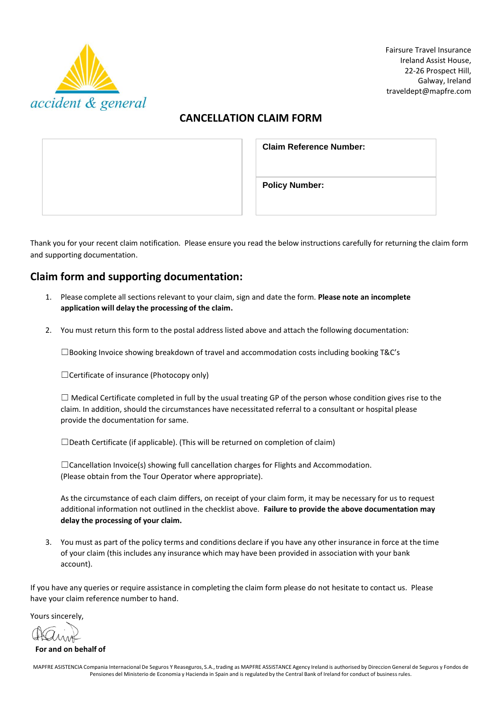

Fairsure Travel Insurance Ireland Assist House, 22-26 Prospect Hill, Galway, Ireland traveldept@mapfre.com

# **CANCELLATION CLAIM FORM**

| <b>Claim Reference Number:</b> |
|--------------------------------|
| <b>Policy Number:</b>          |
|                                |

Thank you for your recent claim notification. Please ensure you read the below instructions carefully for returning the claim form and supporting documentation.

## **Claim form and supporting documentation:**

- 1. Please complete all sectionsrelevant to your claim, sign and date the form. **Please note an incomplete application will delay the processing of the claim.**
- 2. You must return this form to the postal address listed above and attach the following documentation:

 $\square$ Booking Invoice showing breakdown of travel and accommodation costs including booking T&C's

☐Certificate of insurance (Photocopy only)

 $\Box$  Medical Certificate completed in full by the usual treating GP of the person whose condition gives rise to the claim. In addition, should the circumstances have necessitated referral to a consultant or hospital please provide the documentation for same.

 $\square$ Death Certificate (if applicable). (This will be returned on completion of claim)

☐Cancellation Invoice(s) showing full cancellation charges for Flights and Accommodation. (Please obtain from the Tour Operator where appropriate).

As the circumstance of each claim differs, on receipt of your claim form, it may be necessary for us to request additional information not outlined in the checklist above. **Failure to provide the above documentation may delay the processing of your claim.**

3. You must as part of the policy terms and conditions declare if you have any other insurance in force at the time of your claim (this includes any insurance which may have been provided in association with your bank account).

If you have any queries or require assistance in completing the claim form please do not hesitate to contact us. Please have your claim reference number to hand.

Yours sincerely,

**For and on behalf of**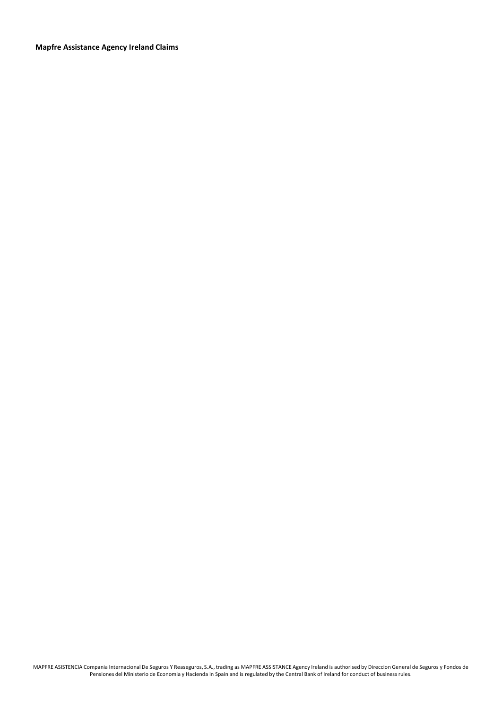**Mapfre Assistance Agency Ireland Claims**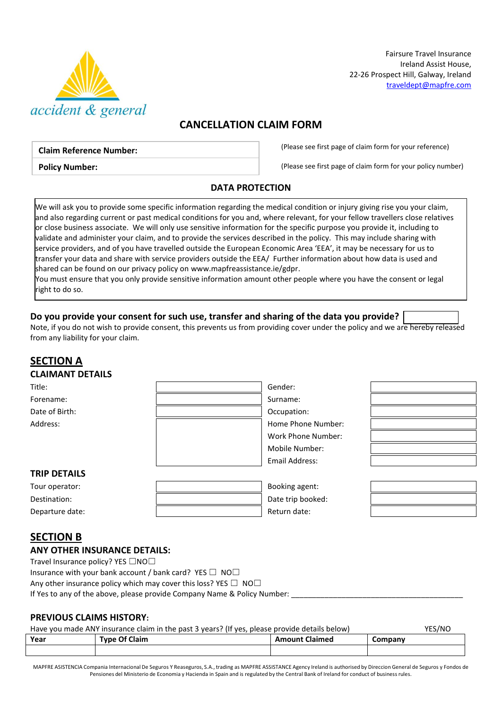

Fairsure Travel Insurance Ireland Assist House, 22-26 Prospect Hill, Galway, Ireland [traveldept@mapfre.com](mailto:traveldept@mapfre.com)

# **CANCELLATION CLAIM FORM**

**Policy Number:**

(Please see first page of claim form for your reference)

(Please see first page of claim form for your policy number)

### **DATA PROTECTION**

We will ask you to provide some specific information regarding the medical condition or injury giving rise you your claim, and also regarding current or past medical conditions for you and, where relevant, for your fellow travellers close relatives  $\vert$ or close business associate. We will only use sensitive information for the specific purpose you provide it, including to validate and administer your claim, and to provide the services described in the policy. This may include sharing with service providers, and of you have travelled outside the European Economic Area 'EEA', it may be necessary for us to transfer your data and share with service providers outside the EEA/ Further information about how data is used and shared can be found on our privacy policy o[n www.mapfreassistance.ie/gdpr.](http://www.mapfreassistance.ie/gdpr)

You must ensure that you only provide sensitive information amount other people where you have the consent or legal right to do so.

## **Do you provide your consent for such use, transfer and sharing of the data you provide?**

Note, if you do not wish to provide consent, this prevents us from providing cover under the policy and we are hereby released from any liability for your claim.

| <b>SECTION A</b>        |                           |
|-------------------------|---------------------------|
| <b>CLAIMANT DETAILS</b> |                           |
| Title:                  | Gender:                   |
| Forename:               | Surname:                  |
| Date of Birth:          | Occupation:               |
| Address:                | Home Phone Number:        |
|                         | <b>Work Phone Number:</b> |
|                         | Mobile Number:            |
|                         | <b>Email Address:</b>     |
| <b>TRIP DETAILS</b>     |                           |
| Tour operator:          | Booking agent:            |
| Destination:            | Date trip booked:         |
| Departure date:         | Return date:              |

# **SECTION B**

### **ANY OTHER INSURANCE DETAILS:**

Travel Insurance policy? YES □NO□ Insurance with your bank account / bank card? YES  $\Box$  NO $\Box$ Any other insurance policy which may cover this loss? YES  $\Box$  NO $\Box$ If Yes to any of the above, please provide Company Name & Policy Number:

### **PREVIOUS CLAIMS HISTORY:**

| Have you made ANY insurance claim in the past 3 years? (If yes, please provide details below) | YES/NO                                        |  |  |  |
|-----------------------------------------------------------------------------------------------|-----------------------------------------------|--|--|--|
| Year                                                                                          | <b>Type Of Claim</b><br><b>Amount Claimed</b> |  |  |  |
|                                                                                               |                                               |  |  |  |

MAPFRE ASISTENCIA Compania Internacional De Seguros Y Reaseguros, S.A., trading as MAPFRE ASSISTANCE Agency Ireland is authorised by Direccion General de Seguros y Fondos de Pensiones del Ministerio de Economia y Hacienda in Spain and is regulated by the Central Bank of Ireland for conduct of business rules.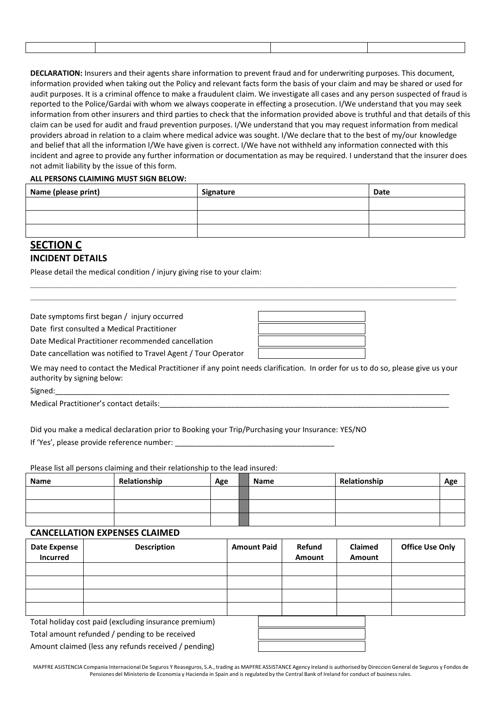**DECLARATION:** Insurers and their agents share information to prevent fraud and for underwriting purposes. This document, information provided when taking out the Policy and relevant facts form the basis of your claim and may be shared or used for audit purposes. It is a criminal offence to make a fraudulent claim. We investigate all cases and any person suspected of fraud is reported to the Police/Gardai with whom we always cooperate in effecting a prosecution. I/We understand that you may seek information from other insurers and third parties to check that the information provided above is truthful and that details of this claim can be used for audit and fraud prevention purposes. I/We understand that you may request information from medical providers abroad in relation to a claim where medical advice was sought. I/We declare that to the best of my/our knowledge and belief that all the information I/We have given is correct. I/We have not withheld any information connected with this incident and agree to provide any further information or documentation as may be required. I understand that the insurer does not admit liability by the issue of this form.

#### **ALL PERSONS CLAIMING MUST SIGN BELOW:**

| Name (please print) | Signature | Date |
|---------------------|-----------|------|
|                     |           |      |
|                     |           |      |
|                     |           |      |

**\_\_\_\_\_\_\_\_\_\_\_\_\_\_\_\_\_\_\_\_\_\_\_\_\_\_\_\_\_\_\_\_\_\_\_\_\_\_\_\_\_\_\_\_\_\_\_\_\_\_\_\_\_\_\_\_\_\_\_\_\_\_\_\_\_\_\_\_\_\_\_\_\_\_\_\_\_\_\_\_\_\_\_\_\_\_\_\_\_\_\_ \_\_\_\_\_\_\_\_\_\_\_\_\_\_\_\_\_\_\_\_\_\_\_\_\_\_\_\_\_\_\_\_\_\_\_\_\_\_\_\_\_\_\_\_\_\_\_\_\_\_\_\_\_\_\_\_\_\_\_\_\_\_\_\_\_\_\_\_\_\_\_\_\_\_\_\_\_\_\_\_\_\_\_\_\_\_\_\_\_\_\_**

## **SECTION C INCIDENT DETAILS**

Please detail the medical condition / injury giving rise to your claim:

Date symptoms first began / injury occurred

Date first consulted a Medical Practitioner

Date Medical Practitioner recommended cancellation

Date cancellation was notified to Travel Agent / Tour Operator

| We may need to contact the Medical Practitioner if any point needs clarification. In order for us to do so, please give us your |  |
|---------------------------------------------------------------------------------------------------------------------------------|--|
| authority by signing below:                                                                                                     |  |

Signed:\_\_\_\_\_\_\_\_\_\_\_\_\_\_\_\_\_\_\_\_\_\_\_\_\_\_\_\_\_\_\_\_\_\_\_\_\_\_\_\_\_\_\_\_\_\_\_\_\_\_\_\_\_\_\_\_\_\_\_\_\_\_\_\_\_\_\_\_\_\_\_\_\_\_\_\_\_\_\_\_\_\_\_\_\_\_\_\_\_\_\_\_\_\_

Medical Practitioner's contact details:

Did you make a medical declaration prior to Booking your Trip/Purchasing your Insurance: YES/NO

If 'Yes', please provide reference number:

Please list all persons claiming and their relationship to the lead insured:

| Name | Relationship | Age | Name | Relationship | Age |
|------|--------------|-----|------|--------------|-----|
|      |              |     |      |              |     |
|      |              |     |      |              |     |
|      |              |     |      |              |     |

#### **CANCELLATION EXPENSES CLAIMED**

| Date Expense<br><b>Incurred</b>                       | <b>Description</b> | <b>Amount Paid</b> | Refund<br>Amount | <b>Claimed</b><br>Amount | <b>Office Use Only</b> |  |
|-------------------------------------------------------|--------------------|--------------------|------------------|--------------------------|------------------------|--|
|                                                       |                    |                    |                  |                          |                        |  |
|                                                       |                    |                    |                  |                          |                        |  |
|                                                       |                    |                    |                  |                          |                        |  |
|                                                       |                    |                    |                  |                          |                        |  |
| Total holiday cost paid (excluding insurance premium) |                    |                    |                  |                          |                        |  |
|                                                       |                    |                    |                  |                          |                        |  |

Total amount refunded / pending to be received

Amount claimed (less any refunds received / pending)

MAPFRE ASISTENCIA Compania Internacional De Seguros Y Reaseguros, S.A., trading as MAPFRE ASSISTANCE Agency Ireland is authorised by Direccion General de Seguros y Fondos de Pensiones del Ministerio de Economia y Hacienda in Spain and is regulated by the Central Bank of Ireland for conduct of business rules.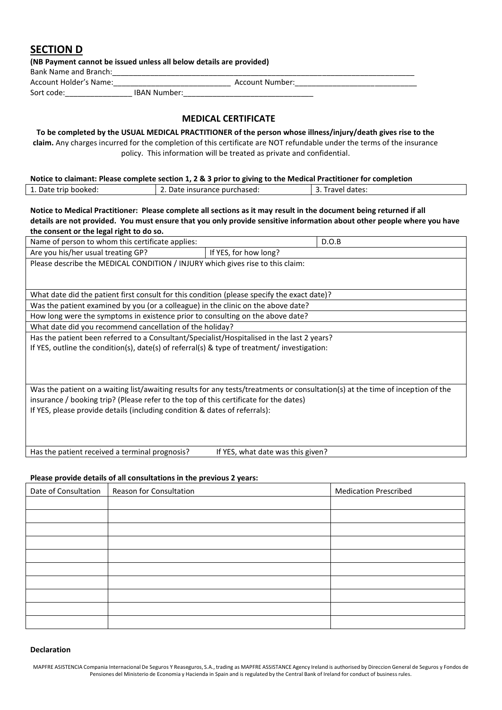| <b>SECTION D</b>                                                    |              |                 |  |
|---------------------------------------------------------------------|--------------|-----------------|--|
| (NB Payment cannot be issued unless all below details are provided) |              |                 |  |
| <b>Bank Name and Branch:</b>                                        |              |                 |  |
| Account Holder's Name:                                              |              | Account Number: |  |
| Sort code:                                                          | IBAN Number: |                 |  |

#### **MEDICAL CERTIFICATE**

**To be completed by the USUAL MEDICAL PRACTITIONER of the person whose illness/injury/death gives rise to the claim.** Any charges incurred for the completion of this certificate are NOT refundable under the terms of the insurance policy. This information will be treated as private and confidential.

| Notice to claimant: Please complete section 1, 2 & 3 prior to giving to the Medical Practitioner for completion |                              |                    |  |  |  |  |
|-----------------------------------------------------------------------------------------------------------------|------------------------------|--------------------|--|--|--|--|
| 1. Date trip booked:                                                                                            | 2. Date insurance purchased: | 1 3. Travel dates: |  |  |  |  |

**Notice to Medical Practitioner: Please complete all sections as it may result in the document being returned if all details are not provided. You must ensure that you only provide sensitive information about other people where you have the consent or the legal right to do so.**

| Name of person to whom this certificate applies:                                                                               | D.O.B                                                                                       |  |  |  |  |  |
|--------------------------------------------------------------------------------------------------------------------------------|---------------------------------------------------------------------------------------------|--|--|--|--|--|
| Are you his/her usual treating GP?                                                                                             | If YES, for how long?                                                                       |  |  |  |  |  |
| Please describe the MEDICAL CONDITION / INJURY which gives rise to this claim:                                                 |                                                                                             |  |  |  |  |  |
|                                                                                                                                |                                                                                             |  |  |  |  |  |
|                                                                                                                                |                                                                                             |  |  |  |  |  |
| What date did the patient first consult for this condition (please specify the exact date)?                                    |                                                                                             |  |  |  |  |  |
| Was the patient examined by you (or a colleague) in the clinic on the above date?                                              |                                                                                             |  |  |  |  |  |
| How long were the symptoms in existence prior to consulting on the above date?                                                 |                                                                                             |  |  |  |  |  |
| What date did you recommend cancellation of the holiday?                                                                       |                                                                                             |  |  |  |  |  |
| Has the patient been referred to a Consultant/Specialist/Hospitalised in the last 2 years?                                     |                                                                                             |  |  |  |  |  |
|                                                                                                                                | If YES, outline the condition(s), date(s) of referral(s) & type of treatment/investigation: |  |  |  |  |  |
|                                                                                                                                |                                                                                             |  |  |  |  |  |
|                                                                                                                                |                                                                                             |  |  |  |  |  |
|                                                                                                                                |                                                                                             |  |  |  |  |  |
| Was the patient on a waiting list/awaiting results for any tests/treatments or consultation(s) at the time of inception of the |                                                                                             |  |  |  |  |  |
| insurance / booking trip? (Please refer to the top of this certificate for the dates)                                          |                                                                                             |  |  |  |  |  |
| If YES, please provide details (including condition & dates of referrals):                                                     |                                                                                             |  |  |  |  |  |
|                                                                                                                                |                                                                                             |  |  |  |  |  |
|                                                                                                                                |                                                                                             |  |  |  |  |  |
|                                                                                                                                |                                                                                             |  |  |  |  |  |
| Has the patient received a terminal prognosis?                                                                                 | If YES, what date was this given?                                                           |  |  |  |  |  |

#### **Please provide details of all consultations in the previous 2 years:**

| Date of Consultation | Reason for Consultation | <b>Medication Prescribed</b> |
|----------------------|-------------------------|------------------------------|
|                      |                         |                              |
|                      |                         |                              |
|                      |                         |                              |
|                      |                         |                              |
|                      |                         |                              |
|                      |                         |                              |
|                      |                         |                              |
|                      |                         |                              |
|                      |                         |                              |
|                      |                         |                              |

#### **Declaration**

MAPFRE ASISTENCIA Compania Internacional De Seguros Y Reaseguros, S.A., trading as MAPFRE ASSISTANCE Agency Ireland is authorised by Direccion General de Seguros y Fondos de Pensiones del Ministerio de Economia y Hacienda in Spain and is regulated by the Central Bank of Ireland for conduct of businessrules.